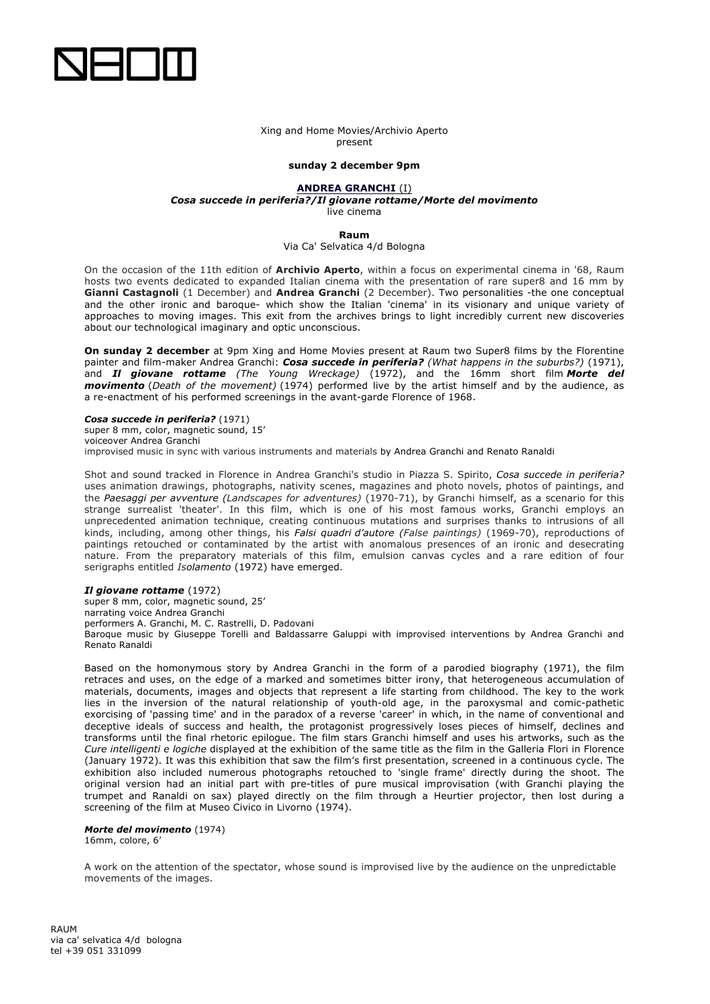

### Xing and Home Movies/Archivio Aperto present

## **sunday 2 december 9pm**

# **ANDREA GRANCHI** (I)

*Cosa succede in periferia?/Il giovane rottame/Morte del movimento*

live cinema

**Raum**

#### Via Ca' Selvatica 4/d Bologna

On the occasion of the 11th edition of **Archivio Aperto**, within a focus on experimental cinema in '68, Raum hosts two events dedicated to expanded Italian cinema with the presentation of rare super8 and 16 mm by **Gianni Castagnoli** (1 December) and **Andrea Granchi** (2 December). Two personalities -the one conceptual and the other ironic and baroque- which show the Italian 'cinema' in its visionary and unique variety of approaches to moving images. This exit from the archives brings to light incredibly current new discoveries about our technological imaginary and optic unconscious.

**On sunday 2 december** at 9pm Xing and Home Movies present at Raum two Super8 films by the Florentine painter and film-maker Andrea Granchi: *Cosa succede in periferia? (What happens in the suburbs?)* (1971), and *Il giovane rottame (The Young Wreckage)* (1972), and the 16mm short film *Morte del movimento* (*Death of the movement)* (1974) performed live by the artist himself and by the audience, as a re-enactment of his performed screenings in the avant-garde Florence of 1968.

*Cosa succede in periferia?* (1971)

super 8 mm, color, magnetic sound, 15'

voiceover Andrea Granchi

improvised music in sync with various instruments and materials by Andrea Granchi and Renato Ranaldi

Shot and sound tracked in Florence in Andrea Granchi's studio in Piazza S. Spirito, *Cosa succede in periferia?* uses animation drawings, photographs, nativity scenes, magazines and photo novels, photos of paintings, and the *Paesaggi per avventure (Landscapes for adventures)* (1970-71), by Granchi himself, as a scenario for this strange surrealist 'theater'. In this film, which is one of his most famous works, Granchi employs an unprecedented animation technique, creating continuous mutations and surprises thanks to intrusions of all kinds, including, among other things, his *Falsi quadri d'autore (False paintings)* (1969-70), reproductions of paintings retouched or contaminated by the artist with anomalous presences of an ironic and desecrating nature. From the preparatory materials of this film, emulsion canvas cycles and a rare edition of four serigraphs entitled *Isolamento* (1972) have emerged.

### *Il giovane rottame* (1972)

super 8 mm, color, magnetic sound, 25' narrating voice Andrea Granchi performers A. Granchi, M. C. Rastrelli, D. Padovani Baroque music by Giuseppe Torelli and Baldassarre Galuppi with improvised interventions by Andrea Granchi and Renato Ranaldi

Based on the homonymous story by Andrea Granchi in the form of a parodied biography (1971), the film retraces and uses, on the edge of a marked and sometimes bitter irony, that heterogeneous accumulation of materials, documents, images and objects that represent a life starting from childhood. The key to the work lies in the inversion of the natural relationship of youth-old age, in the paroxysmal and comic-pathetic exorcising of 'passing time' and in the paradox of a reverse 'career' in which, in the name of conventional and deceptive ideals of success and health, the protagonist progressively loses pieces of himself, declines and transforms until the final rhetoric epilogue. The film stars Granchi himself and uses his artworks, such as the *Cure intelligenti e logiche* displayed at the exhibition of the same title as the film in the Galleria Flori in Florence (January 1972). It was this exhibition that saw the film's first presentation, screened in a continuous cycle. The exhibition also included numerous photographs retouched to 'single frame' directly during the shoot. The original version had an initial part with pre-titles of pure musical improvisation (with Granchi playing the trumpet and Ranaldi on sax) played directly on the film through a Heurtier projector, then lost during a screening of the film at Museo Civico in Livorno (1974).

#### *Morte del movimento* (1974) 16mm, colore, 6'

A work on the attention of the spectator, whose sound is improvised live by the audience on the unpredictable movements of the images.